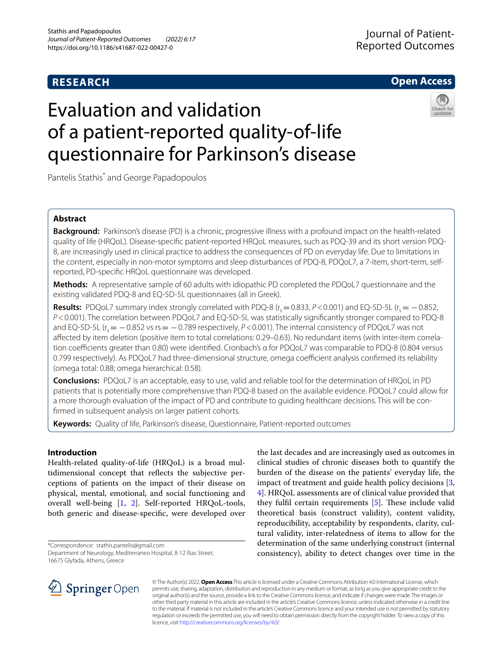# **RESEARCH**

# **Open Access**

# Evaluation and validation of a patient-reported quality-of-life questionnaire for Parkinson's disease



Pantelis Stathis\* and George Papadopoulos

## **Abstract**

**Background:** Parkinson's disease (PD) is a chronic, progressive illness with a profound impact on the health-related quality of life (HRQoL). Disease-specifc patient-reported HRQoL measures, such as PDQ-39 and its short version PDQ-8, are increasingly used in clinical practice to address the consequences of PD on everyday life. Due to limitations in the content, especially in non-motor symptoms and sleep disturbances of PDQ-8, PDQoL7, a 7-item, short-term, selfreported, PD-specifc HRQoL questionnaire was developed.

**Methods:** A representative sample of 60 adults with idiopathic PD completed the PDQoL7 questionnaire and the existing validated PDQ-8 and EQ-5D-5L questionnaires (all in Greek).

**Results:** PDQoL7 summary index strongly correlated with PDQ-8 ( $r_s$  = 0.833,  $P$  < 0.001) and EQ-5D-5L ( $r_s$  =  $-$  0.852, *P*<0.001). The correlation between PDQoL7 and EQ-5D-5L was statistically signifcantly stronger compared to PDQ-8 and EQ-5D-5L (r<sub>s</sub> = −0.852 vs rs = −0.789 respectively, *P* < 0.001). The internal consistency of PDQoL7 was not afected by item deletion (positive item to total correlations: 0.29–0.63). No redundant items (with inter-item correlation coefficients greater than 0.80) were identified. Cronbach's α for PDQoL7 was comparable to PDQ-8 (0.804 versus 0.799 respectively). As PDQoL7 had three-dimensional structure, omega coefficient analysis confirmed its reliability (omega total: 0.88; omega hierarchical: 0.58).

**Conclusions:** PDQoL7 is an acceptable, easy to use, valid and reliable tool for the determination of HRQoL in PD patients that is potentially more comprehensive than PDQ-8 based on the available evidence. PDQoL7 could allow for a more thorough evaluation of the impact of PD and contribute to guiding healthcare decisions. This will be confrmed in subsequent analysis on larger patient cohorts.

**Keywords:** Quality of life, Parkinson's disease, Questionnaire, Patient-reported outcomes

# **Introduction**

Health-related quality-of-life (HRQoL) is a broad multidimensional concept that refects the subjective perceptions of patients on the impact of their disease on physical, mental, emotional, and social functioning and overall well-being [\[1,](#page-7-0) [2](#page-7-1)]. Self-reported HRQoL-tools, both generic and disease-specifc, were developed over

\*Correspondence: stathis.pantelis@gmail.com

Department of Neurology, Mediterraneo Hospital, 8-12 Ilias Street, 16675 Glyfada, Athens, Greece

the last decades and are increasingly used as outcomes in clinical studies of chronic diseases both to quantify the burden of the disease on the patients' everyday life, the impact of treatment and guide health policy decisions [\[3](#page-7-2), [4\]](#page-7-3). HRQoL assessments are of clinical value provided that they fulfil certain requirements  $[5]$  $[5]$ . These include valid theoretical basis (construct validity), content validity, reproducibility, acceptability by respondents, clarity, cultural validity, inter-relatedness of items to allow for the determination of the same underlying construct (internal consistency), ability to detect changes over time in the



© The Author(s) 2022. **Open Access** This article is licensed under a Creative Commons Attribution 4.0 International License, which permits use, sharing, adaptation, distribution and reproduction in any medium or format, as long as you give appropriate credit to the original author(s) and the source, provide a link to the Creative Commons licence, and indicate if changes were made. The images or other third party material in this article are included in the article's Creative Commons licence, unless indicated otherwise in a credit line to the material. If material is not included in the article's Creative Commons licence and your intended use is not permitted by statutory regulation or exceeds the permitted use, you will need to obtain permission directly from the copyright holder. To view a copy of this licence, visit [http://creativecommons.org/licenses/by/4.0/.](http://creativecommons.org/licenses/by/4.0/)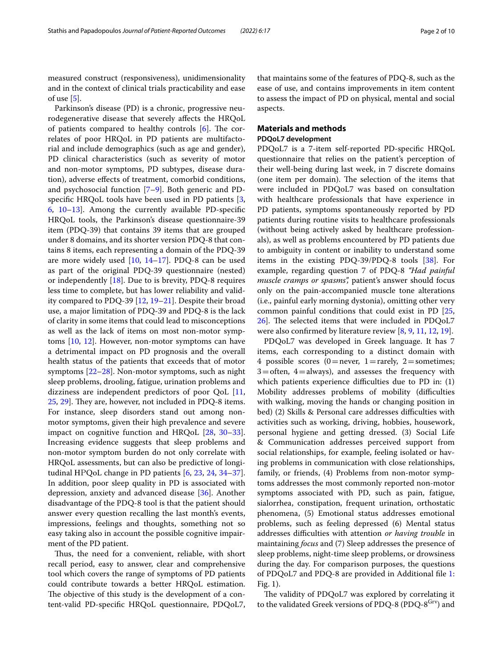measured construct (responsiveness), unidimensionality and in the context of clinical trials practicability and ease of use  $[5]$  $[5]$ .

Parkinson's disease (PD) is a chronic, progressive neurodegenerative disease that severely afects the HRQoL of patients compared to healthy controls  $[6]$  $[6]$ . The correlates of poor HRQoL in PD patients are multifactorial and include demographics (such as age and gender), PD clinical characteristics (such as severity of motor and non-motor symptoms, PD subtypes, disease duration), adverse efects of treatment, comorbid conditions, and psychosocial function [\[7](#page-7-6)–[9\]](#page-7-7). Both generic and PDspecifc HRQoL tools have been used in PD patients [\[3](#page-7-2), [6,](#page-7-5) [10](#page-7-8)–[13\]](#page-7-9). Among the currently available PD-specifc HRQoL tools, the Parkinson's disease questionnaire-39 item (PDQ-39) that contains 39 items that are grouped under 8 domains, and its shorter version PDQ-8 that contains 8 items, each representing a domain of the PDQ-39 are more widely used [\[10](#page-7-8), [14](#page-7-10)[–17\]](#page-7-11). PDQ-8 can be used as part of the original PDQ-39 questionnaire (nested) or independently [\[18\]](#page-7-12). Due to is brevity, PDQ-8 requires less time to complete, but has lower reliability and validity compared to PDQ-39 [\[12](#page-7-13), [19–](#page-7-14)[21](#page-7-15)]. Despite their broad use, a major limitation of PDQ-39 and PDQ-8 is the lack of clarity in some items that could lead to misconceptions as well as the lack of items on most non-motor symptoms [[10,](#page-7-8) [12](#page-7-13)]. However, non-motor symptoms can have a detrimental impact on PD prognosis and the overall health status of the patients that exceeds that of motor symptoms [[22–](#page-7-16)[28\]](#page-8-0). Non-motor symptoms, such as night sleep problems, drooling, fatigue, urination problems and dizziness are independent predictors of poor QoL [\[11](#page-7-17),  $25, 29$  $25, 29$ . They are, however, not included in PDQ-8 items. For instance, sleep disorders stand out among nonmotor symptoms, given their high prevalence and severe impact on cognitive function and HRQoL [\[28](#page-8-0), [30](#page-8-2)[–33](#page-8-3)]. Ιncreasing evidence suggests that sleep problems and non-motor symptom burden do not only correlate with HRQoL assessments, but can also be predictive of longitudinal ΗΡQoL change in PD patients [[6,](#page-7-5) [23,](#page-7-19) [24,](#page-7-20) [34](#page-8-4)[–37](#page-8-5)]. In addition, poor sleep quality in PD is associated with depression, anxiety and advanced disease [\[36](#page-8-6)]. Another disadvantage of the PDQ-8 tool is that the patient should answer every question recalling the last month's events, impressions, feelings and thoughts, something not so easy taking also in account the possible cognitive impairment of the PD patient.

Thus, the need for a convenient, reliable, with short recall period, easy to answer, clear and comprehensive tool which covers the range of symptoms of PD patients could contribute towards a better HRQoL estimation. The objective of this study is the development of a content-valid PD-specifc HRQoL questionnaire, PDQoL7, that maintains some of the features of PDQ-8, such as the ease of use, and contains improvements in item content to assess the impact of PD on physical, mental and social aspects.

## **Materials and methods**

## **PDQoL7 development**

PDQoL7 is a 7-item self-reported PD-specifc HRQoL questionnaire that relies on the patient's perception of their well-being during last week, in 7 discrete domains (one item per domain). The selection of the items that were included in PDQoL7 was based on consultation with healthcare professionals that have experience in PD patients, symptoms spontaneously reported by PD patients during routine visits to healthcare professionals (without being actively asked by healthcare professionals), as well as problems encountered by PD patients due to ambiguity in content or inability to understand some items in the existing PDQ-39/PDQ-8 tools [[38\]](#page-8-7). For example, regarding question 7 of PDQ-8 *"Had painful muscle cramps or spasms",* patient's answer should focus only on the pain-accompanied muscle tone alterations (i.e., painful early morning dystonia), omitting other very common painful conditions that could exist in PD [[25](#page-7-18),  $26$ ]. The selected items that were included in PDQoL7 were also confrmed by literature review [\[8,](#page-7-21) [9](#page-7-7), [11,](#page-7-17) [12](#page-7-13), [19\]](#page-7-14).

PDQoL7 was developed in Greek language. It has 7 items, each corresponding to a distinct domain with 4 possible scores (0=never, 1=rarely, 2=sometimes;  $3 =$ often,  $4 =$ always), and assesses the frequency with which patients experience difficulties due to PD in:  $(1)$ Mobility addresses problems of mobility (difficulties with walking, moving the hands or changing position in bed) (2) Skills & Personal care addresses difficulties with activities such as working, driving, hobbies, housework, personal hygiene and getting dressed. (3) Social Life & Communication addresses perceived support from social relationships, for example, feeling isolated or having problems in communication with close relationships, family, or friends, (4) Problems from non-motor symptoms addresses the most commonly reported non-motor symptoms associated with PD, such as pain, fatigue, sialorrhea, constipation, frequent urination, orthostatic phenomena, (5) Emotional status addresses emotional problems, such as feeling depressed (6) Mental status addresses difficulties with attention or having trouble in maintaining *focus* and (7) Sleep addresses the presence of sleep problems, night-time sleep problems, or drowsiness during the day. For comparison purposes, the questions of PDQoL7 and PDQ-8 are provided in Additional fle [1](#page-7-22): Fig. 1).

The validity of PDQoL7 was explored by correlating it to the validated Greek versions of PDQ-8 (PDQ-8 $G<sub>Y</sub>$ ) and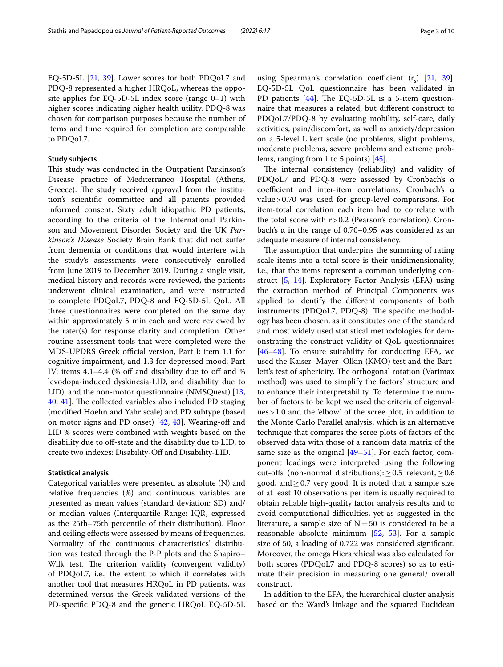EQ-5D-5L [\[21](#page-7-15), [39](#page-8-9)]. Lower scores for both PDQoL7 and PDQ-8 represented a higher HRQoL, whereas the opposite applies for EQ-5D-5L index score (range 0–1) with higher scores indicating higher health utility. PDQ-8 was chosen for comparison purposes because the number of items and time required for completion are comparable to PDQoL7.

## **Study subjects**

This study was conducted in the Outpatient Parkinson's Disease practice of Mediterraneo Hospital (Athens, Greece). The study received approval from the institution's scientifc committee and all patients provided informed consent. Sixty adult idiopathic PD patients, according to the criteria of the International Parkinson and Movement Disorder Society and the UK *Parkinson's Disease* Society Brain Bank that did not sufer from dementia or conditions that would interfere with the study's assessments were consecutively enrolled from June 2019 to December 2019. During a single visit, medical history and records were reviewed, the patients underwent clinical examination, and were instructed to complete PDQoL7, PDQ-8 and EQ-5D-5L QoL. All three questionnaires were completed on the same day within approximately 5 min each and were reviewed by the rater(s) for response clarity and completion. Other routine assessment tools that were completed were the MDS-UPDRS Greek official version, Part I: item 1.1 for cognitive impairment, and 1.3 for depressed mood; Part IV: items 4.1-4.4 (% off and disability due to off and % levodopa-induced dyskinesia-LID, and disability due to LID), and the non-motor questionnaire (NMSQuest) [\[13](#page-7-9), [40,](#page-8-10) [41\]](#page-8-11). The collected variables also included PD staging (modifed Hoehn and Yahr scale) and PD subtype (based on motor signs and PD onset) [\[42,](#page-8-12) [43](#page-8-13)]. Wearing-of and LID % scores were combined with weights based on the disability due to of-state and the disability due to LID, to create two indexes: Disability-Of and Disability-LID.

## **Statistical analysis**

Categorical variables were presented as absolute (N) and relative frequencies (%) and continuous variables are presented as mean values (standard deviation: SD) and/ or median values (Interquartile Range: IQR, expressed as the 25th–75th percentile of their distribution). Floor and ceiling effects were assessed by means of frequencies. Normality of the continuous characteristics' distribution was tested through the P-P plots and the Shapiro– Wilk test. The criterion validity (convergent validity) of PDQoL7, i.e., the extent to which it correlates with another tool that measures HRQoL in PD patients, was determined versus the Greek validated versions of the PD-specifc PDQ-8 and the generic HRQoL EQ-5D-5L using Spearman's correlation coefficient  $(r<sub>s</sub>)$  [\[21](#page-7-15), [39](#page-8-9)]. EQ-5D-5L QoL questionnaire has been validated in PD patients  $[44]$  $[44]$ . The EQ-5D-5L is a 5-item questionnaire that measures a related, but diferent construct to PDQoL7/PDQ-8 by evaluating mobility, self-care, daily activities, pain/discomfort, as well as anxiety/depression on a 5-level Likert scale (no problems, slight problems, moderate problems, severe problems and extreme problems, ranging from 1 to 5 points) [\[45\]](#page-8-15).

The internal consistency (reliability) and validity of PDQoL7 and PDQ-8 were assessed by Cronbach's α coefficient and inter-item correlations. Cronbach's α value>0.70 was used for group-level comparisons. For item-total correlation each item had to correlate with the total score with r>0.2 (Pearson's correlation). Cronbach's α in the range of 0.70–0.95 was considered as an adequate measure of internal consistency.

The assumption that underpins the summing of rating scale items into a total score is their unidimensionality, i.e., that the items represent a common underlying construct [\[5](#page-7-4), [14](#page-7-10)]. Exploratory Factor Analysis (EFA) using the extraction method of Principal Components was applied to identify the diferent components of both instruments ( $PDQoL7$ ,  $PDQ-8$ ). The specific methodology has been chosen, as it constitutes one of the standard and most widely used statistical methodologies for demonstrating the construct validity of QoL questionnaires [[46–](#page-8-16)[48\]](#page-8-17). To ensure suitability for conducting EFA, we used the Kaiser–Mayer–Olkin (KMO) test and the Bartlett's test of sphericity. The orthogonal rotation (Varimax method) was used to simplify the factors' structure and to enhance their interpretability. To determine the number of factors to be kept we used the criteria of eigenvalues>1.0 and the 'elbow' of the scree plot, in addition to the Monte Carlo Parallel analysis, which is an alternative technique that compares the scree plots of factors of the observed data with those of a random data matrix of the same size as the original  $[49-51]$  $[49-51]$ . For each factor, component loadings were interpreted using the following cut-offs (non-normal distributions):  $\geq$  0.5 relevant,  $\geq$  0.6 good, and  $\geq$  0.7 very good. It is noted that a sample size of at least 10 observations per item is usually required to obtain reliable high-quality factor analysis results and to avoid computational difficulties, yet as suggested in the literature, a sample size of  $N=50$  is considered to be a reasonable absolute minimum [[52,](#page-8-20) [53](#page-8-21)]. For a sample size of 50, a loading of 0.722 was considered signifcant. Moreover, the omega Hierarchical was also calculated for both scores (PDQoL7 and PDQ-8 scores) so as to estimate their precision in measuring one general/ overall construct.

In addition to the EFA, the hierarchical cluster analysis based on the Ward's linkage and the squared Euclidean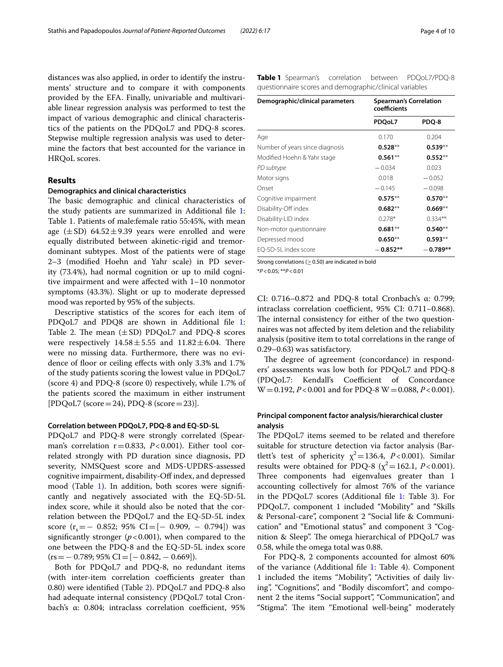distances was also applied, in order to identify the instruments' structure and to compare it with components provided by the EFA. Finally, univariable and multivariable linear regression analysis was performed to test the impact of various demographic and clinical characteristics of the patients on the PDQoL7 and PDQ-8 scores. Stepwise multiple regression analysis was used to determine the factors that best accounted for the variance in HRQoL scores.

## **Results**

#### **Demographics and clinical characteristics**

The basic demographic and clinical characteristics of the study patients are summarized in Additional fle [1](#page-7-22): Table 1. Patients of male:female ratio 55:45%, with mean age  $(\pm SD)$  64.52 $\pm$ 9.39 years were enrolled and were equally distributed between akinetic-rigid and tremordominant subtypes. Most of the patients were of stage 2–3 (modifed Hoehn and Yahr scale) in PD severity (73.4%), had normal cognition or up to mild cognitive impairment and were afected with 1–10 nonmotor symptoms (43.3%). Slight or up to moderate depressed mood was reported by 95% of the subjects.

Descriptive statistics of the scores for each item of PDQoL7 and PDQ8 are shown in Additional file [1](#page-7-22): Table 2. The mean  $(\pm SD)$  PDQoL7 and PDQ-8 scores were respectively  $14.58 \pm 5.55$  and  $11.82 \pm 6.04$ . There were no missing data. Furthermore, there was no evidence of floor or ceiling effects with only 3.3% and 1.7% of the study patients scoring the lowest value in PDQoL7 (score 4) and PDQ-8 (score 0) respectively, while 1.7% of the patients scored the maximum in either instrument [PDQoL7 (score=24), PDQ-8 (score=23)].

#### **Correlation between PDQoL7, PDQ‑8 and EQ‑5D‑5L**

PDQoL7 and PDQ-8 were strongly correlated (Spearman's correlation r=0.833, *P*<0.001). Either tool correlated strongly with PD duration since diagnosis, PD severity, NMSQuest score and MDS-UPDRS-assessed cognitive impairment, disability-Of index, and depressed mood (Table [1](#page-3-0)). In addition, both scores were significantly and negatively associated with the EQ-5D-5L index score, while it should also be noted that the correlation between the PDQoL7 and the EQ-5D-5L index score (r<sub>s</sub>=− 0.852; 95% CI=[− 0.909, − 0.794]) was significantly stronger ( $p < 0.001$ ), when compared to the one between the PDQ-8 and the EQ-5D-5L index score  $(rs=- 0.789; 95\% CI=[- 0.842, - 0.669]$ .

Both for PDQoL7 and PDQ-8, no redundant items (with inter-item correlation coefficients greater than 0.80) were identifed (Table [2](#page-4-0)). PDQoL7 and PDQ-8 also had adequate internal consistency (PDQoL7 total Cronbach's α: 0.804; intraclass correlation coefficient, 95% <span id="page-3-0"></span>**Table 1** Spearman's correlation between PDQoL7/PDQ-8 questionnaire scores and demographic/clinical variables

| Demographic/clinical parameters | <b>Spearman's Correlation</b><br>coefficients |            |  |  |
|---------------------------------|-----------------------------------------------|------------|--|--|
|                                 | PDQoL7                                        | PDQ-8      |  |  |
| Age                             | 0.170                                         | 0.204      |  |  |
| Number of years since diagnosis | $0.528**$                                     | $0.539**$  |  |  |
| Modified Hoehn & Yahr stage     | $0.561**$                                     | $0.552**$  |  |  |
| PD subtype                      | $-0.034$                                      | 0.023      |  |  |
| Motor signs                     | 0.018                                         | $-0.052$   |  |  |
| Onset                           | $-0.145$                                      | $-0.098$   |  |  |
| Cognitive impairment            | $0.575**$                                     | $0.570**$  |  |  |
| Disability-Off index            | $0.682**$                                     | $0.669**$  |  |  |
| Disability-LID index            | $0.278*$                                      | $0.334**$  |  |  |
| Non-motor questionnaire         | $0.681**$                                     | $0.540**$  |  |  |
| Depressed mood                  | $0.650**$                                     | $0.593**$  |  |  |
| EQ-5D-5L index score            | $-0.852**$                                    | $-0.789**$ |  |  |

Strong correlations ( $\geq$  0.50) are indicated in bold

\**P*<0.05; \*\**P*<0.01

CI: 0.716–0.872 and PDQ-8 total Cronbach's α: 0.799; intraclass correlation coefficient, 95% CI: 0.711-0.868). The internal consistency for either of the two questionnaires was not afected by item deletion and the reliability analysis (positive item to total correlations in the range of 0.29–0.63) was satisfactory.

The degree of agreement (concordance) in responders' assessments was low both for PDQoL7 and PDQ-8 (PDQoL7: Kendall's Coefficient of Concordance W=0.192, *P*<0.001 and for PDQ-8 W=0.088, *P*<0.001).

## **Principal component factor analysis/hierarchical cluster analysis**

The PDQoL7 items seemed to be related and therefore suitable for structure detection via factor analysis (Bartlett's test of sphericity  $\chi^2$  = 136.4, *P* < 0.001). Similar results were obtained for PDQ-8 ( $\chi^2$  = 162.1, *P* < 0.001). Three components had eigenvalues greater than 1 accounting collectively for almost 76% of the variance in the PDQoL7 scores (Additional fle [1](#page-7-22): Table 3). For PDQoL7, component 1 included "Mobility" and "Skills & Personal-care", component 2 "Social life & Communication" and "Emotional status" and component 3 "Cognition & Sleep". The omega hierarchical of PDQoL7 was 0.58, while the omega total was 0.88.

For PDQ-8, 2 components accounted for almost 60% of the variance (Additional fle [1](#page-7-22): Table 4). Component 1 included the items "Mobility", "Activities of daily living", "Cognitions", and "Bodily discomfort", and component 2 the items "Social support", "Communication", and "Stigma". The item "Emotional well-being" moderately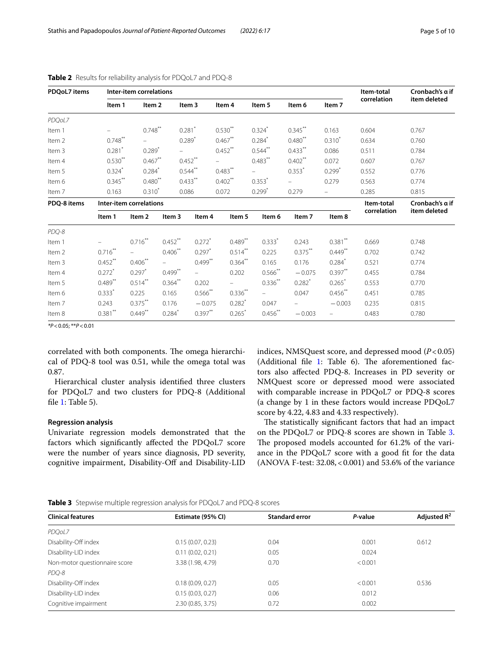| <b>PDOoL7</b> items |                         | Inter-item correlations |                      |                      |                      |                          |                          |                          | Item-total  | Cronbach's a if |
|---------------------|-------------------------|-------------------------|----------------------|----------------------|----------------------|--------------------------|--------------------------|--------------------------|-------------|-----------------|
|                     | Item 1                  | Item 2                  |                      | Item 3               | Item 4               | Item 5                   | Item 6                   | Item 7                   | correlation | item deleted    |
| PDQoL7              |                         |                         |                      |                      |                      |                          |                          |                          |             |                 |
| Item 1              |                         | $0.748$ **              |                      | $0.281$ *            | $0.530**$            | $0.324$ <sup>*</sup>     | $0.345***$               | 0.163                    | 0.604       | 0.767           |
| Item 2              | $0.748***$              | $-$                     |                      | $0.289*$             | $0.467**$            | $0.284*$                 | $0.480**$                | $0.310^{*}$              | 0.634       | 0.760           |
| Item 3              | $0.281$ *               | $0.289*$                |                      |                      | $0.452$ **           | $0.544***$               | $0.433***$               | 0.086                    | 0.511       | 0.784           |
| Item 4              | $0.530**$               | $0.467**$               |                      | $0.452***$           | $\equiv$             | $0.483***$               | $0.402$ **               | 0.072                    | 0.607       | 0.767           |
| Item 5              | $0.324$ *               | $0.284$ <sup>*</sup>    |                      | $0.544***$           | $0.483***$           | $=$                      | $0.353*$                 | $0.299$ <sup>*</sup>     | 0.552       | 0.776           |
| Item 6              | $0.345***$              | $0.480**$               |                      | $0.433***$           | $0.402$ **           | $0.353*$                 | $\overline{\phantom{0}}$ | 0.279                    | 0.563       | 0.774           |
| Item 7              | 0.163                   | $0.310^{*}$             | 0.086                |                      | 0.072                | $0.299$ <sup>*</sup>     | 0.279                    | $\overline{\phantom{a}}$ | 0.285       | 0.815           |
| PDQ-8 items         | Inter-item correlations |                         |                      |                      |                      |                          | Item-total               | Cronbach's a if          |             |                 |
|                     | Item 1                  | Item 2                  | Item 3               | ltem 4               | Item 5               | Item 6                   | Item 7                   | Item 8                   | correlation | item deleted    |
| PDQ-8               |                         |                         |                      |                      |                      |                          |                          |                          |             |                 |
| Item 1              |                         | $0.716**$               | $0.452$ **           | $0.272$ <sup>*</sup> | $0.489**$            | $0.333$ <sup>*</sup>     | 0.243                    | $0.381$ **               | 0.669       | 0.748           |
| Item 2              | $0.716***$              | $\equiv$                | $0.406***$           | $0.297*$             | $0.514***$           | 0.225                    | $0.375***$               | $0.449$ **               | 0.702       | 0.742           |
| Item 3              | $0.452***$              | $0.406***$              |                      | $0.499***$           | $0.364$ **           | 0.165                    | 0.176                    | $0.284*$                 | 0.521       | 0.774           |
| Item 4              | $0.272$ <sup>*</sup>    | $0.297$ *               | $0.499^{**}$         | $\sim$               | 0.202                | $0.566$ **               | $-0.075$                 | $0.397**$                | 0.455       | 0.784           |
| Item 5              | $0.489$ **              | $0.514$ <sup>**</sup>   | $0.364$ **           | 0.202                |                      | $0.336$ **               | $0.282$ <sup>*</sup>     | 0.265                    | 0.553       | 0.770           |
| Item 6              | $0.333*$                | 0.225                   | 0.165                | $0.566$ **           | $0.336**$            | $\overline{\phantom{0}}$ | 0.047                    | $0.456$ **               | 0.451       | 0.785           |
| Item 7              | 0.243                   | $0.375***$              | 0.176                | $-0.075$             | $0.282$ <sup>*</sup> | 0.047                    |                          | $-0.003$                 | 0.235       | 0.815           |
| Item 8              | $0.381$ **              | $0.449***$              | $0.284$ <sup>*</sup> | $0.397$ **           | $0.265$ <sup>*</sup> | $0.456$ **               | $-0.003$                 | $\qquad \qquad -$        | 0.483       | 0.780           |

<span id="page-4-0"></span>**Table 2** Results for reliability analysis for PDQoL7 and PDQ-8

*\*P*<0.05; \*\**P*<0.01

correlated with both components. The omega hierarchical of PDQ-8 tool was 0.51, while the omega total was 0.87.

Hierarchical cluster analysis identifed three clusters for PDQoL7 and two clusters for PDQ-8 (Additional fle [1](#page-7-22): Table 5).

## **Regression analysis**

Univariate regression models demonstrated that the factors which signifcantly afected the PDQoL7 score were the number of years since diagnosis, PD severity, cognitive impairment, Disability-Of and Disability-LID indices, NMSQuest score, and depressed mood (*P*<0.05) (Additional file  $1$ : Table 6). The aforementioned factors also afected PDQ-8. Increases in PD severity or NMQuest score or depressed mood were associated with comparable increase in PDQoL7 or PDQ-8 scores (a change by 1 in these factors would increase PDQoL7 score by 4.22, 4.83 and 4.33 respectively).

The statistically significant factors that had an impact on the PDQoL7 or PDQ-8 scores are shown in Table [3](#page-4-1). The proposed models accounted for 61.2% of the variance in the PDQoL7 score with a good ft for the data (ANOVA F-test: 32.08,<0.001) and 53.6% of the variance

<span id="page-4-1"></span>

|  |  |  |  |  |  | Table 3 Stepwise multiple regression analysis for PDQoL7 and PDQ-8 scores |  |
|--|--|--|--|--|--|---------------------------------------------------------------------------|--|
|--|--|--|--|--|--|---------------------------------------------------------------------------|--|

| <b>Clinical features</b>      | Estimate (95% CI) | <b>Standard error</b> | P-value | Adjusted $R^2$ |  |  |  |  |
|-------------------------------|-------------------|-----------------------|---------|----------------|--|--|--|--|
| PDQoL7                        |                   |                       |         |                |  |  |  |  |
| Disability-Off index          | 0.15(0.07, 0.23)  | 0.04                  | 0.001   | 0.612          |  |  |  |  |
| Disability-LID index          | 0.11(0.02, 0.21)  | 0.05                  | 0.024   |                |  |  |  |  |
| Non-motor questionnaire score | 3.38 (1.98, 4.79) | 0.70                  | < 0.001 |                |  |  |  |  |
| PDQ-8                         |                   |                       |         |                |  |  |  |  |
| Disability-Off index          | 0.18(0.09, 0.27)  | 0.05                  | < 0.001 | 0.536          |  |  |  |  |
| Disability-LID index          | 0.15(0.03, 0.27)  | 0.06                  | 0.012   |                |  |  |  |  |
| Cognitive impairment          | 2.30 (0.85, 3.75) | 0.72                  | 0.002   |                |  |  |  |  |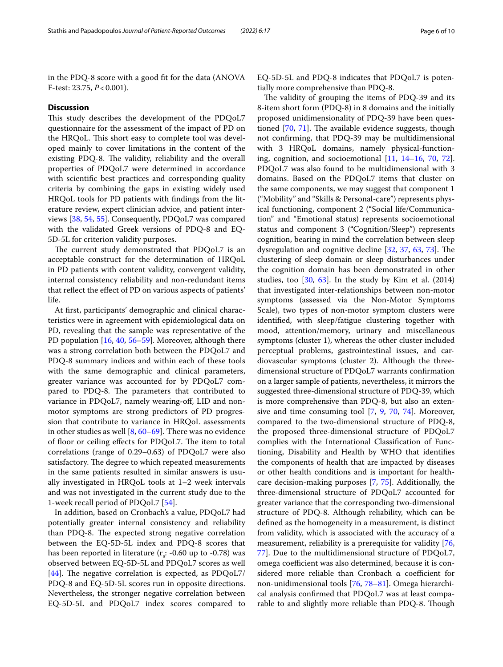in the PDQ-8 score with a good ft for the data (ANOVA F-test: 23.75, *P*<0.001).

### **Discussion**

This study describes the development of the PDQoL7 questionnaire for the assessment of the impact of PD on the HRQoL. This short easy to complete tool was developed mainly to cover limitations in the content of the existing PDQ-8. The validity, reliability and the overall properties of PDQoL7 were determined in accordance with scientifc best practices and corresponding quality criteria by combining the gaps in existing widely used HRQoL tools for PD patients with fndings from the literature review, expert clinician advice, and patient interviews [\[38,](#page-8-7) [54,](#page-8-22) [55](#page-8-23)]. Consequently, PDQoL7 was compared with the validated Greek versions of PDQ-8 and EQ-5D-5L for criterion validity purposes.

The current study demonstrated that PDQoL7 is an acceptable construct for the determination of HRQoL in PD patients with content validity, convergent validity, internal consistency reliability and non-redundant items that refect the efect of PD on various aspects of patients' life.

At frst, participants' demographic and clinical characteristics were in agreement with epidemiological data on PD, revealing that the sample was representative of the PD population [[16](#page-7-23), [40](#page-8-10), [56–](#page-8-24)[59\]](#page-8-25). Moreover, although there was a strong correlation both between the PDQoL7 and PDQ-8 summary indices and within each of these tools with the same demographic and clinical parameters, greater variance was accounted for by PDQoL7 compared to PDQ-8. The parameters that contributed to variance in PDQoL7, namely wearing-of, LID and nonmotor symptoms are strong predictors of PD progression that contribute to variance in HRQoL assessments in other studies as well [\[8](#page-7-21), [60–](#page-8-26)[69](#page-8-27)]. Τhere was no evidence of floor or ceiling effects for PDQoL7. The item to total correlations (range of 0.29–0.63) of PDQoL7 were also satisfactory. The degree to which repeated measurements in the same patients resulted in similar answers is usually investigated in HRQoL tools at 1–2 week intervals and was not investigated in the current study due to the 1-week recall period of PDQoL7 [[54](#page-8-22)].

In addition, based on Cronbach's a value, PDQoL7 had potentially greater internal consistency and reliability than PDQ-8. The expected strong negative correlation between the EQ-5D-5L index and PDQ-8 scores that has been reported in literature  $(r_s: -0.60 \text{ up to } -0.78)$  was observed between EQ-5D-5L and PDQoL7 scores as well [[44\]](#page-8-14). The negative correlation is expected, as  $PDQoL7/$ PDQ-8 and EQ-5D-5L scores run in opposite directions. Nevertheless, the stronger negative correlation between EQ-5D-5L and PDQoL7 index scores compared to EQ-5D-5L and PDQ-8 indicates that PDQoL7 is potentially more comprehensive than PDQ-8.

The validity of grouping the items of PDQ-39 and its 8-item short form (PDQ-8) in 8 domains and the initially proposed unidimensionality of PDQ-39 have been questioned  $[70, 71]$  $[70, 71]$  $[70, 71]$  $[70, 71]$  $[70, 71]$ . The available evidence suggests, though not confrming, that PDQ-39 may be multidimensional with 3 HRQoL domains, namely physical-functioning, cognition, and socioemotional [[11,](#page-7-17) [14–](#page-7-10)[16,](#page-7-23) [70,](#page-8-28) [72](#page-8-30)]. PDQoL7 was also found to be multidimensional with 3 domains. Based on the PDQoL7 items that cluster on the same components, we may suggest that component 1 ("Mobility" and "Skills & Personal-care") represents physical functioning, component 2 ("Social life/Communication" and "Emotional status) represents socioemotional status and component 3 ("Cognition/Sleep") represents cognition, bearing in mind the correlation between sleep dysregulation and cognitive decline  $[32, 37, 63, 73]$  $[32, 37, 63, 73]$  $[32, 37, 63, 73]$  $[32, 37, 63, 73]$  $[32, 37, 63, 73]$  $[32, 37, 63, 73]$  $[32, 37, 63, 73]$  $[32, 37, 63, 73]$ . The clustering of sleep domain or sleep disturbances under the cognition domain has been demonstrated in other studies, too  $[30, 63]$  $[30, 63]$  $[30, 63]$  $[30, 63]$ . In the study by Kim et al.  $(2014)$ that investigated inter-relationships between non-motor symptoms (assessed via the Non-Motor Symptoms Scale), two types of non-motor symptom clusters were identifed, with sleep/fatigue clustering together with mood, attention/memory, urinary and miscellaneous symptoms (cluster 1), whereas the other cluster included perceptual problems, gastrointestinal issues, and cardiovascular symptoms (cluster 2). Although the threedimensional structure of PDQoL7 warrants confrmation on a larger sample of patients, nevertheless, it mirrors the suggested three-dimensional structure of PDQ-39, which is more comprehensive than PDQ-8, but also an extensive and time consuming tool [[7,](#page-7-6) [9,](#page-7-7) [70](#page-8-28), [74](#page-8-34)]. Moreover, compared to the two-dimensional structure of PDQ-8, the proposed three-dimensional structure of PDQoL7 complies with the International Classifcation of Functioning, Disability and Health by WHO that identifes the components of health that are impacted by diseases or other health conditions and is important for healthcare decision-making purposes [[7,](#page-7-6) [75\]](#page-9-0). Additionally, the three-dimensional structure of PDQoL7 accounted for greater variance that the corresponding two-dimensional structure of PDQ-8. Although reliability, which can be defned as the homogeneity in a measurement, is distinct from validity, which is associated with the accuracy of a measurement, reliability is a prerequisite for validity [[76](#page-9-1), [77\]](#page-9-2). Due to the multidimensional structure of PDQoL7, omega coefficient was also determined, because it is considered more reliable than Cronbach  $\alpha$  coefficient for non-unidimensional tools [[76,](#page-9-1) [78–](#page-9-3)[81](#page-9-4)]. Omega hierarchical analysis confrmed that PDQoL7 was at least comparable to and slightly more reliable than PDQ-8. Though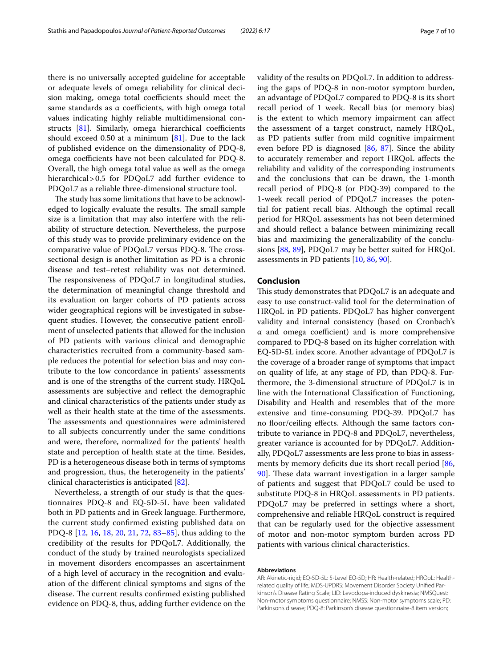there is no universally accepted guideline for acceptable or adequate levels of omega reliability for clinical decision making, omega total coefficients should meet the same standards as  $\alpha$  coefficients, with high omega total values indicating highly reliable multidimensional constructs  $[81]$  $[81]$ . Similarly, omega hierarchical coefficients should exceed 0.50 at a minimum  $[81]$  $[81]$ . Due to the lack of published evidence on the dimensionality of PDQ-8, omega coefficients have not been calculated for PDQ-8. Overall, the high omega total value as well as the omega hierarchical>0.5 for PDQoL7 add further evidence to PDQoL7 as a reliable three-dimensional structure tool.

The study has some limitations that have to be acknowledged to logically evaluate the results. The small sample size is a limitation that may also interfere with the reliability of structure detection. Nevertheless, the purpose of this study was to provide preliminary evidence on the comparative value of PDQoL7 versus PDQ-8. The crosssectional design is another limitation as PD is a chronic disease and test–retest reliability was not determined. The responsiveness of PDQoL7 in longitudinal studies, the determination of meaningful change threshold and its evaluation on larger cohorts of PD patients across wider geographical regions will be investigated in subsequent studies. However, the consecutive patient enrollment of unselected patients that allowed for the inclusion of PD patients with various clinical and demographic characteristics recruited from a community-based sample reduces the potential for selection bias and may contribute to the low concordance in patients' assessments and is one of the strengths of the current study. HRQoL assessments are subjective and refect the demographic and clinical characteristics of the patients under study as well as their health state at the time of the assessments. The assessments and questionnaires were administered to all subjects concurrently under the same conditions and were, therefore, normalized for the patients' health state and perception of health state at the time. Besides, PD is a heterogeneous disease both in terms of symptoms and progression, thus, the heterogeneity in the patients' clinical characteristics is anticipated [\[82](#page-9-5)].

Nevertheless, a strength of our study is that the questionnaires PDQ-8 and EQ-5D-5L have been validated both in PD patients and in Greek language. Furthermore, the current study confrmed existing published data on PDQ-8 [[12,](#page-7-13) [16,](#page-7-23) [18,](#page-7-12) [20](#page-7-24), [21](#page-7-15), [72](#page-8-30), [83](#page-9-6)[–85\]](#page-9-7), thus adding to the credibility of the results for PDQoL7. Additionally, the conduct of the study by trained neurologists specialized in movement disorders encompasses an ascertainment of a high level of accuracy in the recognition and evaluation of the diferent clinical symptoms and signs of the disease. The current results confirmed existing published evidence on PDQ-8, thus, adding further evidence on the validity of the results on PDQoL7. In addition to addressing the gaps of PDQ-8 in non-motor symptom burden, an advantage of PDQoL7 compared to PDQ-8 is its short recall period of 1 week. Recall bias (or memory bias) is the extent to which memory impairment can afect the assessment of a target construct, namely HRQoL, as PD patients sufer from mild cognitive impairment even before PD is diagnosed [[86](#page-9-8), [87\]](#page-9-9). Since the ability to accurately remember and report HRQoL afects the reliability and validity of the corresponding instruments and the conclusions that can be drawn, the 1-month recall period of PDQ-8 (or PDQ-39) compared to the 1-week recall period of PDQoL7 increases the potential for patient recall bias. Although the optimal recall period for HRQoL assessments has not been determined and should refect a balance between minimizing recall bias and maximizing the generalizability of the conclusions [[88,](#page-9-10) [89](#page-9-11)], PDQoL7 may be better suited for HRQoL assessments in PD patients [\[10,](#page-7-8) [86](#page-9-8), [90\]](#page-9-12).

#### **Conclusion**

This study demonstrates that PDQoL7 is an adequate and easy to use construct-valid tool for the determination of HRQoL in PD patients. PDQoL7 has higher convergent validity and internal consistency (based on Cronbach's  $\alpha$  and omega coefficient) and is more comprehensive compared to PDQ-8 based on its higher correlation with EQ-5D-5L index score. Another advantage of PDQoL7 is the coverage of a broader range of symptoms that impact on quality of life, at any stage of PD, than PDQ-8. Furthermore, the 3-dimensional structure of PDQoL7 is in line with the International Classifcation of Functioning, Disability and Health and resembles that of the more extensive and time-consuming PDQ-39. PDQoL7 has no floor/ceiling effects. Although the same factors contribute to variance in PDQ-8 and PDQoL7, nevertheless, greater variance is accounted for by PDQoL7. Additionally, PDQoL7 assessments are less prone to bias in assess-ments by memory deficits due its short recall period [[86](#page-9-8), [90\]](#page-9-12). These data warrant investigation in a larger sample of patients and suggest that PDQoL7 could be used to substitute PDQ-8 in HRQoL assessments in PD patients. PDQoL7 may be preferred in settings where a short, comprehensive and reliable HRQoL construct is required that can be regularly used for the objective assessment of motor and non-motor symptom burden across PD patients with various clinical characteristics.

#### **Abbreviations**

AR: Akinetic-rigid; EQ-5D-5L: 5-Level EQ-5D; HR: Health-related; HRQoL: Healthrelated quality of life; MDS-UPDRS: Movement Disorder Society Unifed Parkinson's Disease Rating Scale; LID: Levodopa-induced dyskinesia; NMSQuest: Non-motor symptoms questionnaire; NMSS: Non-motor symptoms scale; PD: Parkinson's disease; PDQ-8: Parkinson's disease questionnaire-8 item version;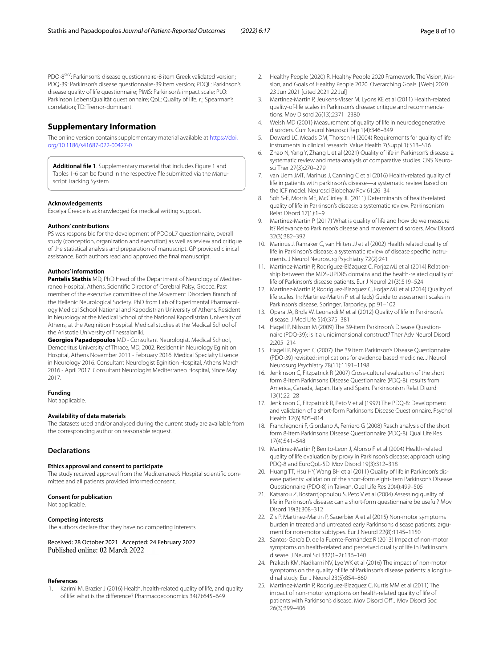PDQ-8<sup>GrV</sup>: Parkinson's disease questionnaire-8 item Greek validated version; PDQ-39: Parkinson's disease questionnaire-39 item version; PDQL: Parkinson's disease quality of life questionnaire; PIMS: Parkinson's impact scale; PLQ: Parkinson LebensQualität questionnaire; QoL: Quality of life; r.: Spearman's correlation; TD: Tremor-dominant.

## **Supplementary Information**

The online version contains supplementary material available at [https://doi.](https://doi.org/10.1186/s41687-022-00427-0) [org/10.1186/s41687-022-00427-0](https://doi.org/10.1186/s41687-022-00427-0).

<span id="page-7-22"></span>**Additional fle 1**. Supplementary material that includes Figure 1 and Tables 1-6 can be found in the respective fle submitted via the Manuscript Tracking System.

#### **Acknowledgements**

Excelya Greece is acknowledged for medical writing support.

#### **Authors' contributions**

PS was responsible for the development of PDQoL7 questionnaire, overall study (conception, organization and execution) as well as review and critique of the statistical analysis and preparation of manuscript. GP provided clinical assistance. Both authors read and approved the fnal manuscript.

#### **Authors' information**

**Pantelis Stathis** MD, PhD Head of the Department of Neurology of Mediterraneo Hospital, Athens, Scientifc Director of Cerebral Palsy, Greece. Past member of the executive committee of the Movement Disorders Branch of the Hellenic Neurological Society. PhD from Lab of Experimental Pharmacology Medical School National and Kapodistrian University of Athens. Resident in Neurology at the Medical School of the National Kapodistrian University of Athens, at the Aeginition Hospital. Medical studies at the Medical School of the Aristotle University of Thessaloniki.

**Georgios Papadopoulos** MD - Consultant Neurologist. Medical School, Democritus University of Thrace, MD, 2002. Resident in Neurology Eginition Hospital, Athens November 2011 - February 2016. Medical Specialty Lisence in Neurology 2016. Consultant Neurologist Eginition Hospital, Athens March 2016 - April 2017. Consultant Neurologist Mediterraneo Hospital, Since May 2017.

**Funding**

# Not applicable.

#### **Availability of data materials**

The datasets used and/or analysed during the current study are available from the corresponding author on reasonable request.

## **Declarations**

#### **Ethics approval and consent to participate**

The study received approval from the Mediterraneo's Hospital scientifc committee and all patients provided informed consent.

#### **Consent for publication**

Not applicable.

#### **Competing interests**

The authors declare that they have no competing interests.

Received: 28 October 2021 Accepted: 24 February 2022

#### **References**

<span id="page-7-0"></span>1. Karimi M, Brazier J (2016) Health, health-related quality of life, and quality of life: what is the diference? Pharmacoeconomics 34(7):645–649

- <span id="page-7-1"></span>2. Healthy People (2020) R. Healthy People 2020 Framework. The Vision, Mission, and Goals of Healthy People 2020. Overarching Goals. [Web] 2020 23 Jun 2021 [cited 2021 22 Jul]
- <span id="page-7-2"></span>3. Martinez-Martin P, Jeukens-Visser M, Lyons KE et al (2011) Health-related quality-of-life scales in Parkinson's disease: critique and recommendations. Mov Disord 26(13):2371–2380
- <span id="page-7-3"></span>4. Welsh MD (2001) Measurement of quality of life in neurodegenerative disorders. Curr Neurol Neurosci Rep 1(4):346–349
- <span id="page-7-4"></span>5. Doward LC, Meads DM, Thorsen H (2004) Requirements for quality of life instruments in clinical research. Value Health 7(Suppl 1):S13–S16
- <span id="page-7-5"></span>6. Zhao N, Yang Y, Zhang L et al (2021) Quality of life in Parkinson's disease: a systematic review and meta-analysis of comparative studies. CNS Neurosci Ther 27(3):270–279
- <span id="page-7-6"></span>7. van Uem JMT, Marinus J, Canning C et al (2016) Health-related quality of life in patients with parkinson's disease—a systematic review based on the ICF model. Neurosci Biobehav Rev 61:26–34
- <span id="page-7-21"></span>8. Soh S-E, Morris ME, McGinley JL (2011) Determinants of health-related quality of life in Parkinson's disease: a systematic review. Parkinsonism Relat Disord 17(1):1–9
- <span id="page-7-7"></span>9. Martinez-Martin P (2017) What is quality of life and how do we measure it? Relevance to Parkinson's disease and movement disorders. Mov Disord 32(3):382–392
- <span id="page-7-8"></span>10. Marinus J, Ramaker C, van Hilten JJ et al (2002) Health related quality of life in Parkinson's disease: a systematic review of disease specifc instruments. J Neurol Neurosurg Psychiatry 72(2):241
- <span id="page-7-17"></span>11. Martínez-Martín P, Rodríguez-Blázquez C, Forjaz MJ et al (2014) Relationship between the MDS-UPDRS domains and the health-related quality of life of Parkinson's disease patients. Eur J Neurol 21(3):519–524
- <span id="page-7-13"></span>12. Martinez-Martin P, Rodriguez-Blazquez C, Forjaz MJ et al (2014) Quality of life scales. In: Martinez-Martin P et al (eds) Guide to assessment scales in Parkinson's disease. Springer, Tarporley, pp 91–102
- <span id="page-7-9"></span>13. Opara JA, Brola W, Leonardi M et al (2012) Quality of life in Parkinson's disease. J Med Life 5(4):375–381
- <span id="page-7-10"></span>14. Hagell P, Nilsson M (2009) The 39-item Parkinson's Disease Questionnaire (PDQ-39): is it a unidimensional construct? Ther Adv Neurol Disord 2:205–214
- 15. Hagell P, Nygren C (2007) The 39 item Parkinson's Disease Questionnaire (PDQ-39) revisited: implications for evidence based medicine. J Neurol Neurosurg Psychiatry 78(11):1191–1198
- <span id="page-7-23"></span>16. Jenkinson C, Fitzpatrick R (2007) Cross-cultural evaluation of the short form 8-item Parkinson's Disease Questionnaire (PDQ-8): results from America, Canada, Japan, Italy and Spain. Parkinsonism Relat Disord 13(1):22–28
- <span id="page-7-11"></span>17. Jenkinson C, Fitzpatrick R, Peto V et al (1997) The PDQ-8: Development and validation of a short-form Parkinson's Disease Questionnaire. Psychol Health 12(6):805–814
- <span id="page-7-12"></span>18. Franchignoni F, Giordano A, Ferriero G (2008) Rasch analysis of the short form 8-item Parkinson's Disease Questionnaire (PDQ-8). Qual Life Res 17(4):541–548
- <span id="page-7-14"></span>19. Martinez-Martin P, Benito-Leon J, Alonso F et al (2004) Health-related quality of life evaluation by proxy in Parkinson's disease: approach using PDQ-8 and EuroQoL-5D. Mov Disord 19(3):312–318
- <span id="page-7-24"></span>20. Huang TT, Hsu HY, Wang BH et al (2011) Quality of life in Parkinson's disease patients: validation of the short-form eight-item Parkinson's Disease Questionnaire (PDQ-8) in Taiwan. Qual Life Res 20(4):499–505
- <span id="page-7-15"></span>21. Katsarou Z, Bostantjopoulou S, Peto V et al (2004) Assessing quality of life in Parkinson's disease: can a short-form questionnaire be useful? Mov Disord 19(3):308–312
- <span id="page-7-16"></span>22. Zis P, Martinez-Martin P, Sauerbier A et al (2015) Non-motor symptoms burden in treated and untreated early Parkinson's disease patients: argument for non-motor subtypes. Eur J Neurol 22(8):1145–1150
- <span id="page-7-19"></span>23. Santos-García D, de la Fuente-Fernández R (2013) Impact of non-motor symptoms on health-related and perceived quality of life in Parkinson's disease. J Neurol Sci 332(1–2):136–140
- <span id="page-7-20"></span>24. Prakash KM, Nadkarni NV, Lye WK et al (2016) The impact of non-motor symptoms on the quality of life of Parkinson's disease patients: a longitudinal study. Eur J Neurol 23(5):854–860
- <span id="page-7-18"></span>25. Martinez-Martin P, Rodriguez-Blazquez C, Kurtis MM et al (2011) The impact of non-motor symptoms on health-related quality of life of patients with Parkinson's disease. Mov Disord Off J Mov Disord Soc 26(3):399–406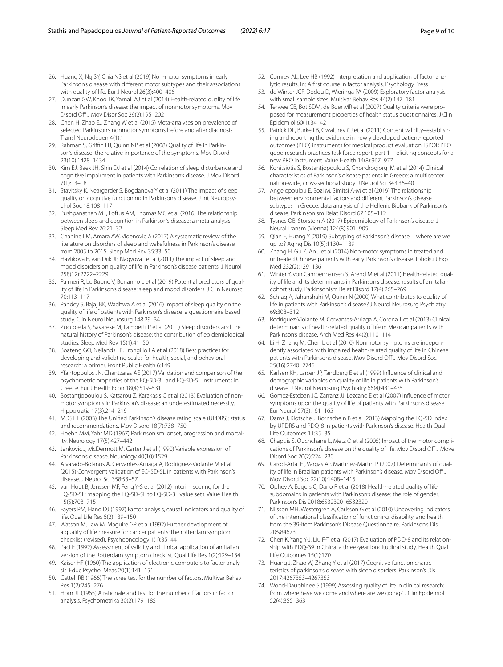- <span id="page-8-8"></span>26. Huang X, Ng SY, Chia NS et al (2019) Non-motor symptoms in early Parkinson's disease with diferent motor subtypes and their associations
- with quality of life. Eur J Neurol 26(3):400–406 27. Duncan GW, Khoo TK, Yarnall AJ et al (2014) Health-related quality of life in early Parkinson's disease: the impact of nonmotor symptoms. Mov Disord Off J Mov Disor Soc 29(2):195-202
- <span id="page-8-0"></span>28. Chen H, Zhao EJ, Zhang W et al (2015) Meta-analyses on prevalence of selected Parkinson's nonmotor symptoms before and after diagnosis. Transl Neurodegen 4(1):1
- <span id="page-8-1"></span>29. Rahman S, Griffin HJ, Quinn NP et al (2008) Quality of life in Parkinson's disease: the relative importance of the symptoms. Mov Disord 23(10):1428–1434
- <span id="page-8-2"></span>30. Kim EJ, Baek JH, Shin DJ et al (2014) Correlation of sleep disturbance and cognitive impairment in patients with Parkinson's disease. J Mov Disord 7(1):13–18
- 31. Stavitsky K, Neargarder S, Bogdanova Y et al (2011) The impact of sleep quality on cognitive functioning in Parkinson's disease. J Int Neuropsychol Soc 18:108–117
- <span id="page-8-31"></span>32. Pushpanathan ME, Loftus AM, Thomas MG et al (2016) The relationship between sleep and cognition in Parkinson's disease: a meta-analysis. Sleep Med Rev 26:21–32
- <span id="page-8-3"></span>33. Chahine LM, Amara AW, Videnovic A (2017) A systematic review of the literature on disorders of sleep and wakefulness in Parkinson's disease from 2005 to 2015. Sleep Med Rev 35:33–50
- <span id="page-8-4"></span>34. Havlikova E, van Dijk JP, Nagyova I et al (2011) The impact of sleep and mood disorders on quality of life in Parkinson's disease patients. J Neurol 258(12):2222–2229
- 35. Palmeri R, Lo Buono V, Bonanno L et al (2019) Potential predictors of quality of life in Parkinson's disease: sleep and mood disorders. J Clin Neurosci 70:113–117
- <span id="page-8-6"></span>36. Pandey S, Bajaj BK, Wadhwa A et al (2016) Impact of sleep quality on the quality of life of patients with Parkinson's disease: a questionnaire based study. Clin Neurol Neurosurg 148:29–34
- <span id="page-8-5"></span>37. Zoccolella S, Savarese M, Lamberti P et al (2011) Sleep disorders and the natural history of Parkinson's disease: the contribution of epidemiological studies. Sleep Med Rev 15(1):41–50
- <span id="page-8-7"></span>38. Boateng GO, Neilands TB, Frongillo EA et al (2018) Best practices for developing and validating scales for health, social, and behavioral research: a primer. Front Public Health 6:149
- <span id="page-8-9"></span>39. Yfantopoulos JN, Chantzaras AE (2017) Validation and comparison of the psychometric properties of the EQ-5D-3L and EQ-5D-5L instruments in Greece. Eur J Health Econ 18(4):519–531
- <span id="page-8-10"></span>40. Bostantjopoulou S, Katsarou Z, Karakasis C et al (2013) Evaluation of nonmotor symptoms in Parkinson's disease: an underestimated necessity. Hippokratia 17(3):214–219
- <span id="page-8-11"></span>41. MDST F (2003) The Unifed Parkinson's disease rating scale (UPDRS): status and recommendations. Mov Disord 18(7):738–750
- <span id="page-8-12"></span>42. Hoehn MM, Yahr MD (1967) Parkinsonism: onset, progression and mortality. Neurology 17(5):427–442
- <span id="page-8-13"></span>Jankovic J, McDermott M, Carter J et al (1990) Variable expression of Parkinson's disease. Neurology 40(10):1529
- <span id="page-8-14"></span>44. Alvarado-Bolaños A, Cervantes-Arriaga A, Rodríguez-Violante M et al (2015) Convergent validation of EQ-5D-5L in patients with Parkinson's disease. J Neurol Sci 358:53–57
- <span id="page-8-15"></span>45. van Hout B, Janssen MF, Feng Y-S et al (2012) Interim scoring for the EQ-5D-5L: mapping the EQ-5D-5L to EQ-5D-3L value sets. Value Health 15(5):708–715
- <span id="page-8-16"></span>46. Fayers PM, Hand DJ (1997) Factor analysis, causal indicators and quality of life. Qual Life Res 6(2):139–150
- 47. Watson M, Law M, Maguire GP et al (1992) Further development of a quality of life measure for cancer patients: the rotterdam symptom checklist (revised). Psychooncology 1(1):35–44
- <span id="page-8-17"></span>48. Paci E (1992) Assessment of validity and clinical application of an Italian version of the Rotterdam symptom checklist. Qual Life Res 1(2):129–134
- <span id="page-8-18"></span>49. Kaiser HF (1960) The application of electronic computers to factor analysis. Educ Psychol Meas 20(1):141–151
- 50. Cattell RB (1966) The scree test for the number of factors. Multivar Behav Res 1(2):245–276
- <span id="page-8-19"></span>51. Horn JL (1965) A rationale and test for the number of factors in factor analysis. Psychometrika 30(2):179–185
- <span id="page-8-20"></span>52. Comrey AL, Lee HB (1992) Interpretation and application of factor analytic results. In: A frst course in factor analysis. Psychology Press
- <span id="page-8-21"></span>53. de Winter JCF, Dodou D, Wieringa PA (2009) Exploratory factor analysis with small sample sizes. Multivar Behav Res 44(2):147–181
- <span id="page-8-22"></span>54. Terwee CB, Bot SDM, de Boer MR et al (2007) Quality criteria were proposed for measurement properties of health status questionnaires. J Clin Epidemiol 60(1):34–42
- <span id="page-8-23"></span>55. Patrick DL, Burke LB, Gwaltney CJ et al (2011) Content validity–establishing and reporting the evidence in newly developed patient-reported outcomes (PRO) instruments for medical product evaluation: ISPOR PRO good research practices task force report: part 1—eliciting concepts for a new PRO instrument. Value Health 14(8):967–977
- <span id="page-8-24"></span>56. Konitsiotis S, Bostantjopoulou S, Chondrogiorgi M et al (2014) Clinical characteristics of Parkinson's disease patients in Greece: a multicenter, nation-wide, cross-sectional study. J Neurol Sci 343:36–40
- 57. Angelopoulou E, Bozi M, Simitsi A-M et al (2019) The relationship between environmental factors and diferent Parkinson's disease subtypes in Greece: data analysis of the Hellenic Biobank of Parkinson's disease. Parkinsonism Relat Disord 67:105–112
- 58. Tysnes OB, Storstein A (2017) Epidemiology of Parkinson's disease. J Neural Transm (Vienna) 124(8):901–905
- <span id="page-8-25"></span>59. Qian E, Huang Y (2019) Subtyping of Parkinson's disease—where are we up to? Aging Dis 10(5):1130–1139
- <span id="page-8-26"></span>60. Zhang H, Gu Z, An J et al (2014) Non-motor symptoms in treated and untreated Chinese patients with early Parkinson's disease. Tohoku J Exp Med 232(2):129–136
- 61. Winter Y, von Campenhausen S, Arend M et al (2011) Health-related quality of life and its determinants in Parkinson's disease: results of an Italian cohort study. Parkinsonism Relat Disord 17(4):265–269
- 62. Schrag A, Jahanshahi M, Quinn N (2000) What contributes to quality of life in patients with Parkinson's disease? J Neurol Neurosurg Psychiatry 69:308–312
- <span id="page-8-32"></span>63. Rodríguez-Violante M, Cervantes-Arriaga A, Corona T et al (2013) Clinical determinants of health-related quality of life in Mexican patients with Parkinson's disease. Arch Med Res 44(2):110–114
- 64. Li H, Zhang M, Chen L et al (2010) Nonmotor symptoms are independently associated with impaired health-related quality of life in Chinese patients with Parkinson's disease. Mov Disord Off J Mov Disord Soc 25(16):2740–2746
- 65. Karlsen KH, Larsen JP, Tandberg E et al (1999) Infuence of clinical and demographic variables on quality of life in patients with Parkinson's disease. J Neurol Neurosurg Psychiatry 66(4):431–435
- 66. Gómez-Esteban JC, Zarranz JJ, Lezcano E et al (2007) Infuence of motor symptoms upon the quality of life of patients with Parkinson's disease. Eur Neurol 57(3):161–165
- 67. Dams J, Klotsche J, Bornschein B et al (2013) Mapping the EQ-5D index by UPDRS and PDQ-8 in patients with Parkinson's disease. Health Qual Life Outcomes 11:35–35
- 68. Chapuis S, Ouchchane L, Metz O et al (2005) Impact of the motor complications of Parkinson's disease on the quality of life. Mov Disord Of J Move Disord Soc 20(2):224–230
- <span id="page-8-27"></span>69. Carod-Artal FJ, Vargas AP, Martinez-Martin P (2007) Determinants of quality of life in Brazilian patients with Parkinson's disease. Mov Disord Of J Mov Disord Soc 22(10):1408–1415
- <span id="page-8-28"></span>70. Ophey A, Eggers C, Dano R et al (2018) Health-related quality of life subdomains in patients with Parkinson's disease: the role of gender. Parkinson's Dis 2018:6532320–6532320
- <span id="page-8-29"></span>71. Nilsson MH, Westergren A, Carlsson G et al (2010) Uncovering indicators of the international classifcation of functioning, disability, and health from the 39-item Parkinson's Disease Questionnaire. Parkinson's Dis 20:984673
- <span id="page-8-30"></span>72. Chen K, Yang Y-J, Liu F-T et al (2017) Evaluation of PDQ-8 and its relationship with PDQ-39 in China: a three-year longitudinal study. Health Qual Life Outcomes 15(1):170
- <span id="page-8-33"></span>73. Huang J, Zhuo W, Zhang Y et al (2017) Cognitive function characteristics of parkinson's disease with sleep disorders. Parkinson's Dis 2017:4267353–4267353
- <span id="page-8-34"></span>74. Wood-Dauphinee S (1999) Assessing quality of life in clinical research: from where have we come and where are we going? J Clin Epidemiol 52(4):355–363